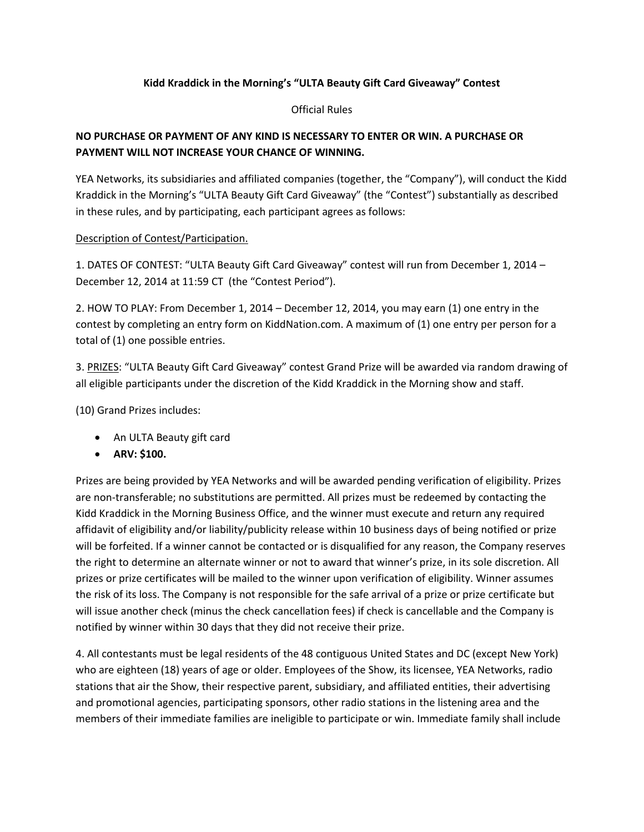## **Kidd Kraddick in the Morning's "ULTA Beauty Gift Card Giveaway" Contest**

Official Rules

## **NO PURCHASE OR PAYMENT OF ANY KIND IS NECESSARY TO ENTER OR WIN. A PURCHASE OR PAYMENT WILL NOT INCREASE YOUR CHANCE OF WINNING.**

YEA Networks, its subsidiaries and affiliated companies (together, the "Company"), will conduct the Kidd Kraddick in the Morning's "ULTA Beauty Gift Card Giveaway" (the "Contest") substantially as described in these rules, and by participating, each participant agrees as follows:

## Description of Contest/Participation.

1. DATES OF CONTEST: "ULTA Beauty Gift Card Giveaway" contest will run from December 1, 2014 – December 12, 2014 at 11:59 CT (the "Contest Period").

2. HOW TO PLAY: From December 1, 2014 – December 12, 2014, you may earn (1) one entry in the contest by completing an entry form on KiddNation.com. A maximum of (1) one entry per person for a total of (1) one possible entries.

3. PRIZES: "ULTA Beauty Gift Card Giveaway" contest Grand Prize will be awarded via random drawing of all eligible participants under the discretion of the Kidd Kraddick in the Morning show and staff.

(10) Grand Prizes includes:

- An ULTA Beauty gift card
- **ARV: \$100.**

Prizes are being provided by YEA Networks and will be awarded pending verification of eligibility. Prizes are non-transferable; no substitutions are permitted. All prizes must be redeemed by contacting the Kidd Kraddick in the Morning Business Office, and the winner must execute and return any required affidavit of eligibility and/or liability/publicity release within 10 business days of being notified or prize will be forfeited. If a winner cannot be contacted or is disqualified for any reason, the Company reserves the right to determine an alternate winner or not to award that winner's prize, in its sole discretion. All prizes or prize certificates will be mailed to the winner upon verification of eligibility. Winner assumes the risk of its loss. The Company is not responsible for the safe arrival of a prize or prize certificate but will issue another check (minus the check cancellation fees) if check is cancellable and the Company is notified by winner within 30 days that they did not receive their prize.

4. All contestants must be legal residents of the 48 contiguous United States and DC (except New York) who are eighteen (18) years of age or older. Employees of the Show, its licensee, YEA Networks, radio stations that air the Show, their respective parent, subsidiary, and affiliated entities, their advertising and promotional agencies, participating sponsors, other radio stations in the listening area and the members of their immediate families are ineligible to participate or win. Immediate family shall include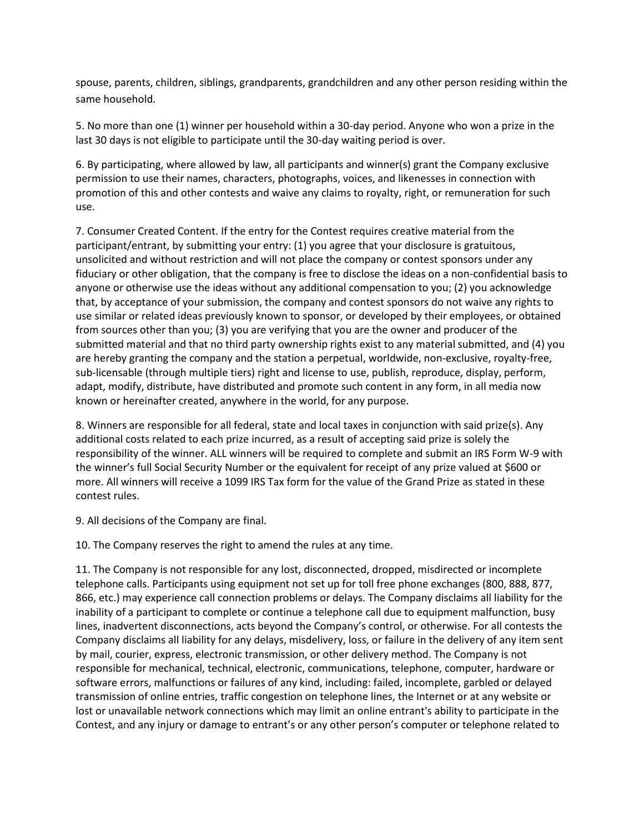spouse, parents, children, siblings, grandparents, grandchildren and any other person residing within the same household.

5. No more than one (1) winner per household within a 30-day period. Anyone who won a prize in the last 30 days is not eligible to participate until the 30-day waiting period is over.

6. By participating, where allowed by law, all participants and winner(s) grant the Company exclusive permission to use their names, characters, photographs, voices, and likenesses in connection with promotion of this and other contests and waive any claims to royalty, right, or remuneration for such use.

7. Consumer Created Content. If the entry for the Contest requires creative material from the participant/entrant, by submitting your entry: (1) you agree that your disclosure is gratuitous, unsolicited and without restriction and will not place the company or contest sponsors under any fiduciary or other obligation, that the company is free to disclose the ideas on a non-confidential basis to anyone or otherwise use the ideas without any additional compensation to you; (2) you acknowledge that, by acceptance of your submission, the company and contest sponsors do not waive any rights to use similar or related ideas previously known to sponsor, or developed by their employees, or obtained from sources other than you; (3) you are verifying that you are the owner and producer of the submitted material and that no third party ownership rights exist to any material submitted, and (4) you are hereby granting the company and the station a perpetual, worldwide, non-exclusive, royalty-free, sub-licensable (through multiple tiers) right and license to use, publish, reproduce, display, perform, adapt, modify, distribute, have distributed and promote such content in any form, in all media now known or hereinafter created, anywhere in the world, for any purpose.

8. Winners are responsible for all federal, state and local taxes in conjunction with said prize(s). Any additional costs related to each prize incurred, as a result of accepting said prize is solely the responsibility of the winner. ALL winners will be required to complete and submit an IRS Form W-9 with the winner's full Social Security Number or the equivalent for receipt of any prize valued at \$600 or more. All winners will receive a 1099 IRS Tax form for the value of the Grand Prize as stated in these contest rules.

9. All decisions of the Company are final.

10. The Company reserves the right to amend the rules at any time.

11. The Company is not responsible for any lost, disconnected, dropped, misdirected or incomplete telephone calls. Participants using equipment not set up for toll free phone exchanges (800, 888, 877, 866, etc.) may experience call connection problems or delays. The Company disclaims all liability for the inability of a participant to complete or continue a telephone call due to equipment malfunction, busy lines, inadvertent disconnections, acts beyond the Company's control, or otherwise. For all contests the Company disclaims all liability for any delays, misdelivery, loss, or failure in the delivery of any item sent by mail, courier, express, electronic transmission, or other delivery method. The Company is not responsible for mechanical, technical, electronic, communications, telephone, computer, hardware or software errors, malfunctions or failures of any kind, including: failed, incomplete, garbled or delayed transmission of online entries, traffic congestion on telephone lines, the Internet or at any website or lost or unavailable network connections which may limit an online entrant's ability to participate in the Contest, and any injury or damage to entrant's or any other person's computer or telephone related to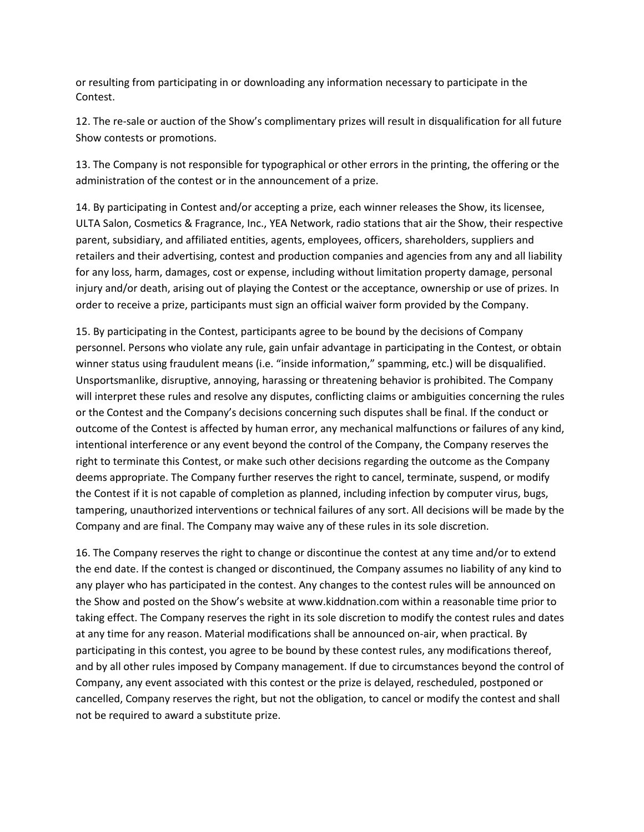or resulting from participating in or downloading any information necessary to participate in the Contest.

12. The re-sale or auction of the Show's complimentary prizes will result in disqualification for all future Show contests or promotions.

13. The Company is not responsible for typographical or other errors in the printing, the offering or the administration of the contest or in the announcement of a prize.

14. By participating in Contest and/or accepting a prize, each winner releases the Show, its licensee, ULTA Salon, Cosmetics & Fragrance, Inc., YEA Network, radio stations that air the Show, their respective parent, subsidiary, and affiliated entities, agents, employees, officers, shareholders, suppliers and retailers and their advertising, contest and production companies and agencies from any and all liability for any loss, harm, damages, cost or expense, including without limitation property damage, personal injury and/or death, arising out of playing the Contest or the acceptance, ownership or use of prizes. In order to receive a prize, participants must sign an official waiver form provided by the Company.

15. By participating in the Contest, participants agree to be bound by the decisions of Company personnel. Persons who violate any rule, gain unfair advantage in participating in the Contest, or obtain winner status using fraudulent means (i.e. "inside information," spamming, etc.) will be disqualified. Unsportsmanlike, disruptive, annoying, harassing or threatening behavior is prohibited. The Company will interpret these rules and resolve any disputes, conflicting claims or ambiguities concerning the rules or the Contest and the Company's decisions concerning such disputes shall be final. If the conduct or outcome of the Contest is affected by human error, any mechanical malfunctions or failures of any kind, intentional interference or any event beyond the control of the Company, the Company reserves the right to terminate this Contest, or make such other decisions regarding the outcome as the Company deems appropriate. The Company further reserves the right to cancel, terminate, suspend, or modify the Contest if it is not capable of completion as planned, including infection by computer virus, bugs, tampering, unauthorized interventions or technical failures of any sort. All decisions will be made by the Company and are final. The Company may waive any of these rules in its sole discretion.

16. The Company reserves the right to change or discontinue the contest at any time and/or to extend the end date. If the contest is changed or discontinued, the Company assumes no liability of any kind to any player who has participated in the contest. Any changes to the contest rules will be announced on the Show and posted on the Show's website at www.kiddnation.com within a reasonable time prior to taking effect. The Company reserves the right in its sole discretion to modify the contest rules and dates at any time for any reason. Material modifications shall be announced on-air, when practical. By participating in this contest, you agree to be bound by these contest rules, any modifications thereof, and by all other rules imposed by Company management. If due to circumstances beyond the control of Company, any event associated with this contest or the prize is delayed, rescheduled, postponed or cancelled, Company reserves the right, but not the obligation, to cancel or modify the contest and shall not be required to award a substitute prize.